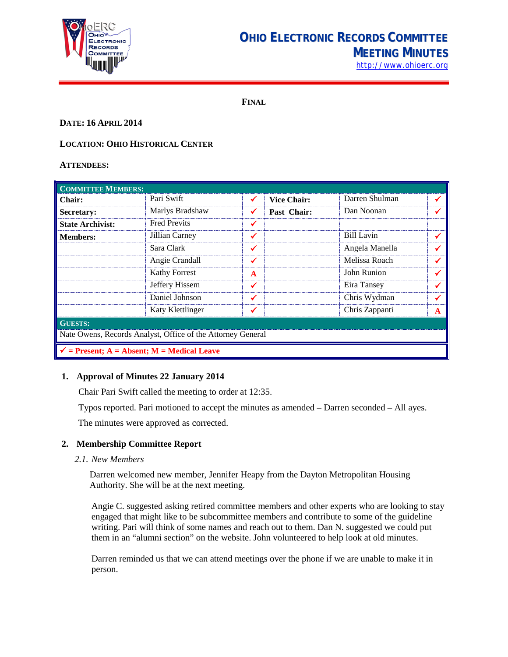

# **OHIO ELECTRONIC RECORDS COMMITTEE MEETING MINUTES**

[http://www.ohioerc.org](http://www.ohioerc.org/)

**FINAL**

# **DATE: 16 APRIL 2014**

# **LOCATION: OHIO HISTORICAL CENTER**

#### **ATTENDEES:**

| <b>COMMITTEE MEMBERS:</b>                                   |                      |   |                    |                |   |  |
|-------------------------------------------------------------|----------------------|---|--------------------|----------------|---|--|
| <b>Chair:</b>                                               | Pari Swift           |   | <b>Vice Chair:</b> | Darren Shulman |   |  |
| <b>Secretary:</b>                                           | Marlys Bradshaw      |   | Past Chair:        | Dan Noonan     |   |  |
| <b>State Archivist:</b>                                     | <b>Fred Previts</b>  |   |                    |                |   |  |
| <b>Members:</b>                                             | Jillian Carney       |   |                    | Bill Lavin     |   |  |
|                                                             | Sara Clark           | ✔ |                    | Angela Manella |   |  |
|                                                             | Angie Crandall       |   |                    | Melissa Roach  |   |  |
|                                                             | <b>Kathy Forrest</b> | A |                    | John Runion    |   |  |
|                                                             | Jeffery Hissem       |   |                    | Eira Tansey    |   |  |
|                                                             | Daniel Johnson       |   |                    | Chris Wydman   |   |  |
|                                                             | Katy Klettlinger     |   |                    | Chris Zappanti | A |  |
| <b>GUESTS:</b>                                              |                      |   |                    |                |   |  |
| Nate Owens, Records Analyst, Office of the Attorney General |                      |   |                    |                |   |  |
| $\checkmark$ = Present; A = Absent; M = Medical Leave       |                      |   |                    |                |   |  |

# **1. Approval of Minutes 22 January 2014**

Chair Pari Swift called the meeting to order at 12:35.

Typos reported. Pari motioned to accept the minutes as amended – Darren seconded – All ayes.

The minutes were approved as corrected.

# **2. Membership Committee Report**

*2.1. New Members*

Darren welcomed new member, Jennifer Heapy from the Dayton Metropolitan Housing Authority. She will be at the next meeting.

Angie C. suggested asking retired committee members and other experts who are looking to stay engaged that might like to be subcommittee members and contribute to some of the guideline writing. Pari will think of some names and reach out to them. Dan N. suggested we could put them in an "alumni section" on the website. John volunteered to help look at old minutes.

Darren reminded us that we can attend meetings over the phone if we are unable to make it in person.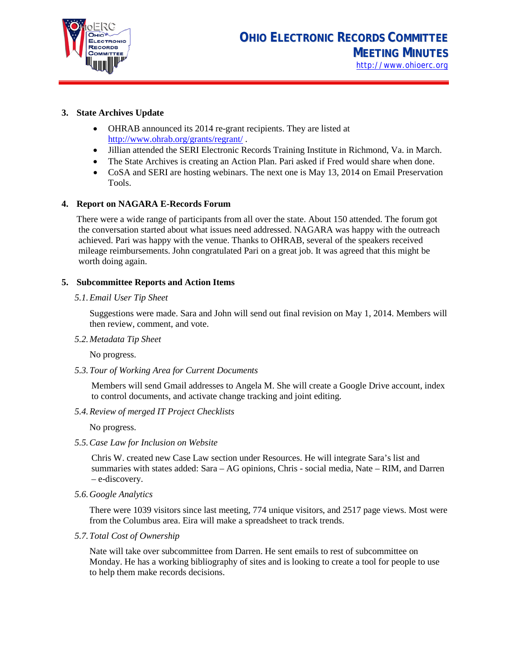

# **3. State Archives Update**

- OHRAB announced its 2014 re-grant recipients. They are listed at <http://www.ohrab.org/grants/regrant/> .
- Jillian attended the SERI Electronic Records Training Institute in Richmond, Va. in March.
- The State Archives is creating an Action Plan. Pari asked if Fred would share when done.
- CoSA and SERI are hosting webinars. The next one is May 13, 2014 on Email Preservation Tools.

#### **4. Report on NAGARA E-Records Forum**

There were a wide range of participants from all over the state. About 150 attended. The forum got the conversation started about what issues need addressed. NAGARA was happy with the outreach achieved. Pari was happy with the venue. Thanks to OHRAB, several of the speakers received mileage reimbursements. John congratulated Pari on a great job. It was agreed that this might be worth doing again.

#### **5. Subcommittee Reports and Action Items**

#### *5.1.Email User Tip Sheet*

Suggestions were made. Sara and John will send out final revision on May 1, 2014. Members will then review, comment, and vote.

*5.2.Metadata Tip Sheet*

No progress.

*5.3.Tour of Working Area for Current Documents*

Members will send Gmail addresses to Angela M. She will create a Google Drive account, index to control documents, and activate change tracking and joint editing.

*5.4.Review of merged IT Project Checklists*

No progress.

*5.5.Case Law for Inclusion on Website*

Chris W. created new Case Law section under Resources. He will integrate Sara's list and summaries with states added: Sara – AG opinions, Chris - social media, Nate – RIM, and Darren – e-discovery.

*5.6.Google Analytics*

There were 1039 visitors since last meeting, 774 unique visitors, and 2517 page views. Most were from the Columbus area. Eira will make a spreadsheet to track trends.

*5.7.Total Cost of Ownership*

Nate will take over subcommittee from Darren. He sent emails to rest of subcommittee on Monday. He has a working bibliography of sites and is looking to create a tool for people to use to help them make records decisions.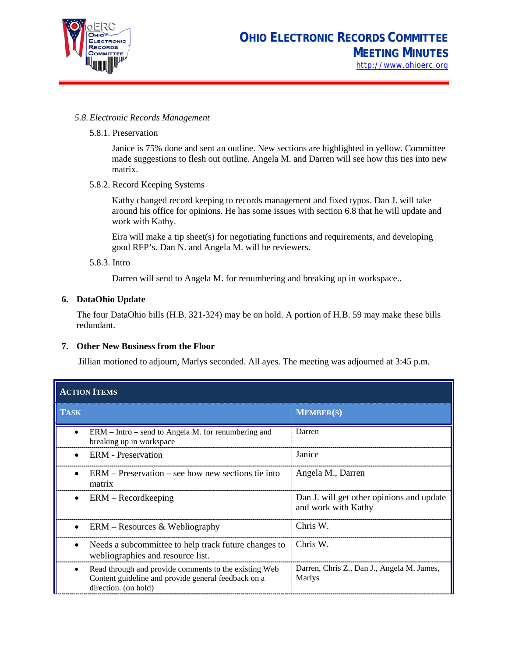

#### *5.8.Electronic Records Management*

#### 5.8.1. Preservation

Janice is 75% done and sent an outline. New sections are highlighted in yellow. Committee made suggestions to flesh out outline. Angela M. and Darren will see how this ties into new matrix.

# 5.8.2. Record Keeping Systems

Kathy changed record keeping to records management and fixed typos. Dan J. will take around his office for opinions. He has some issues with section 6.8 that he will update and work with Kathy.

Eira will make a tip sheet(s) for negotiating functions and requirements, and developing good RFP's. Dan N. and Angela M. will be reviewers.

#### 5.8.3. Intro

Darren will send to Angela M. for renumbering and breaking up in workspace..

# **6. DataOhio Update**

The four DataOhio bills (H.B. 321-324) may be on hold. A portion of H.B. 59 may make these bills redundant.

#### **7. Other New Business from the Floor**

Jillian motioned to adjourn, Marlys seconded. All ayes. The meeting was adjourned at 3:45 p.m.

| <b>ACTION ITEMS</b> |                                                                                                                                      |                                                                  |  |  |
|---------------------|--------------------------------------------------------------------------------------------------------------------------------------|------------------------------------------------------------------|--|--|
| <b>TASK</b>         |                                                                                                                                      | <b>MEMBER(S)</b>                                                 |  |  |
|                     | $ERM - Intro - send to Angela M.$ for renumbering and<br>breaking up in workspace                                                    | Darren                                                           |  |  |
|                     | <b>ERM</b> - Preservation                                                                                                            | Janice                                                           |  |  |
|                     | $ERM - Preservation - see how new sections tie into$<br>matrix                                                                       | Angela M., Darren                                                |  |  |
| $\bullet$           | $ERM - Recordkeeping$                                                                                                                | Dan J. will get other opinions and update<br>and work with Kathy |  |  |
|                     | $ERM - Resources & Webliography$                                                                                                     | Chris W.                                                         |  |  |
|                     | Needs a subcommittee to help track future changes to<br>webliographies and resource list.                                            | Chris W.                                                         |  |  |
| $\bullet$           | Read through and provide comments to the existing Web<br>Content guideline and provide general feedback on a<br>direction. (on hold) | Darren, Chris Z., Dan J., Angela M. James,<br>Marlys             |  |  |